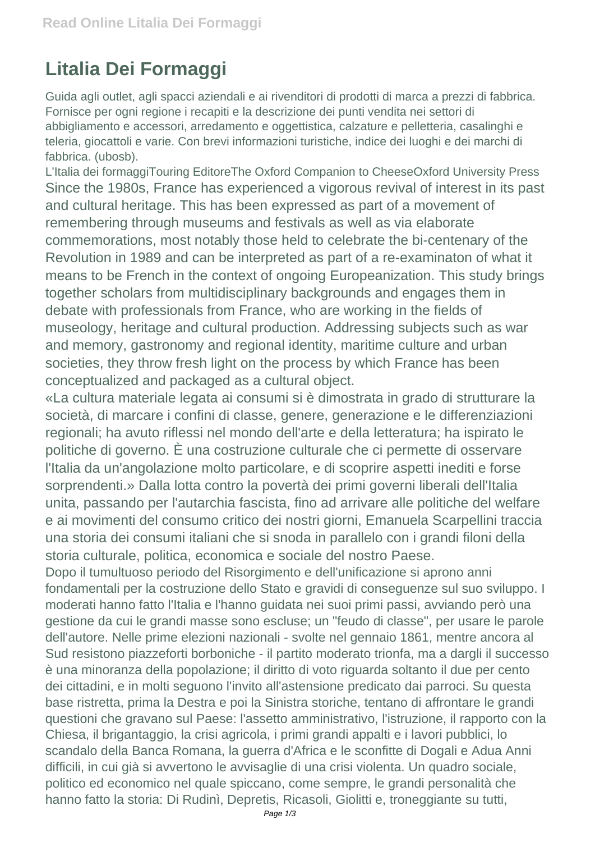## **Litalia Dei Formaggi**

Guida agli outlet, agli spacci aziendali e ai rivenditori di prodotti di marca a prezzi di fabbrica. Fornisce per ogni regione i recapiti e la descrizione dei punti vendita nei settori di abbigliamento e accessori, arredamento e oggettistica, calzature e pelletteria, casalinghi e teleria, giocattoli e varie. Con brevi informazioni turistiche, indice dei luoghi e dei marchi di fabbrica. (ubosb).

L'Italia dei formaggiTouring EditoreThe Oxford Companion to CheeseOxford University Press Since the 1980s, France has experienced a vigorous revival of interest in its past and cultural heritage. This has been expressed as part of a movement of remembering through museums and festivals as well as via elaborate commemorations, most notably those held to celebrate the bi-centenary of the Revolution in 1989 and can be interpreted as part of a re-examinaton of what it means to be French in the context of ongoing Europeanization. This study brings together scholars from multidisciplinary backgrounds and engages them in debate with professionals from France, who are working in the fields of museology, heritage and cultural production. Addressing subjects such as war and memory, gastronomy and regional identity, maritime culture and urban societies, they throw fresh light on the process by which France has been conceptualized and packaged as a cultural object.

«La cultura materiale legata ai consumi si è dimostrata in grado di strutturare la società, di marcare i confini di classe, genere, generazione e le differenziazioni regionali; ha avuto riflessi nel mondo dell'arte e della letteratura; ha ispirato le politiche di governo. È una costruzione culturale che ci permette di osservare l'Italia da un'angolazione molto particolare, e di scoprire aspetti inediti e forse sorprendenti.» Dalla lotta contro la povertà dei primi governi liberali dell'Italia unita, passando per l'autarchia fascista, fino ad arrivare alle politiche del welfare e ai movimenti del consumo critico dei nostri giorni, Emanuela Scarpellini traccia una storia dei consumi italiani che si snoda in parallelo con i grandi filoni della storia culturale, politica, economica e sociale del nostro Paese.

Dopo il tumultuoso periodo del Risorgimento e dell'unificazione si aprono anni fondamentali per la costruzione dello Stato e gravidi di conseguenze sul suo sviluppo. I moderati hanno fatto l'Italia e l'hanno guidata nei suoi primi passi, avviando però una gestione da cui le grandi masse sono escluse; un "feudo di classe", per usare le parole dell'autore. Nelle prime elezioni nazionali - svolte nel gennaio 1861, mentre ancora al Sud resistono piazzeforti borboniche - il partito moderato trionfa, ma a dargli il successo è una minoranza della popolazione; il diritto di voto riguarda soltanto il due per cento dei cittadini, e in molti seguono l'invito all'astensione predicato dai parroci. Su questa base ristretta, prima la Destra e poi la Sinistra storiche, tentano di affrontare le grandi questioni che gravano sul Paese: l'assetto amministrativo, l'istruzione, il rapporto con la Chiesa, il brigantaggio, la crisi agricola, i primi grandi appalti e i lavori pubblici, lo scandalo della Banca Romana, la guerra d'Africa e le sconfitte di Dogali e Adua Anni difficili, in cui già si avvertono le avvisaglie di una crisi violenta. Un quadro sociale, politico ed economico nel quale spiccano, come sempre, le grandi personalità che hanno fatto la storia: Di Rudinì, Depretis, Ricasoli, Giolitti e, troneggiante su tutti,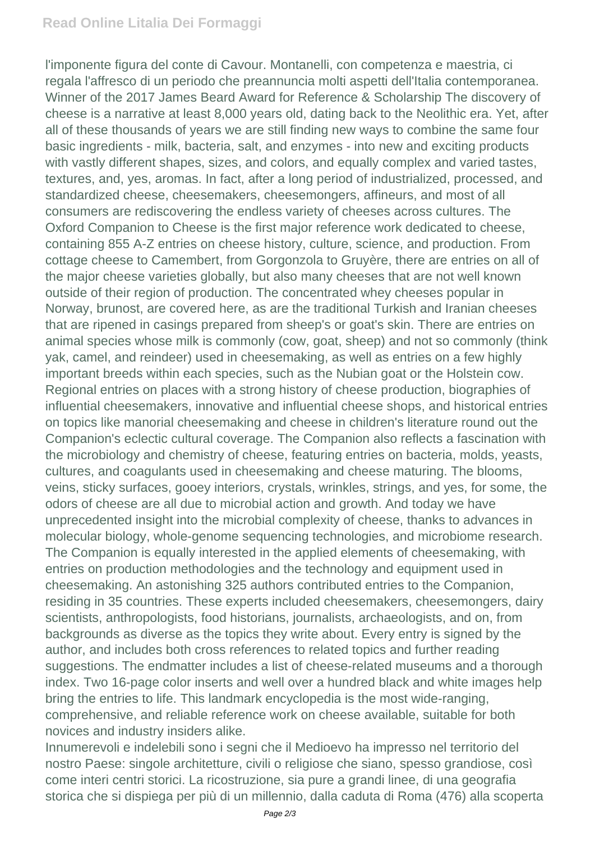## **Read Online Litalia Dei Formaggi**

l'imponente figura del conte di Cavour. Montanelli, con competenza e maestria, ci regala l'affresco di un periodo che preannuncia molti aspetti dell'Italia contemporanea. Winner of the 2017 James Beard Award for Reference & Scholarship The discovery of cheese is a narrative at least 8,000 years old, dating back to the Neolithic era. Yet, after all of these thousands of years we are still finding new ways to combine the same four basic ingredients - milk, bacteria, salt, and enzymes - into new and exciting products with vastly different shapes, sizes, and colors, and equally complex and varied tastes, textures, and, yes, aromas. In fact, after a long period of industrialized, processed, and standardized cheese, cheesemakers, cheesemongers, affineurs, and most of all consumers are rediscovering the endless variety of cheeses across cultures. The Oxford Companion to Cheese is the first major reference work dedicated to cheese, containing 855 A-Z entries on cheese history, culture, science, and production. From cottage cheese to Camembert, from Gorgonzola to Gruyère, there are entries on all of the major cheese varieties globally, but also many cheeses that are not well known outside of their region of production. The concentrated whey cheeses popular in Norway, brunost, are covered here, as are the traditional Turkish and Iranian cheeses that are ripened in casings prepared from sheep's or goat's skin. There are entries on animal species whose milk is commonly (cow, goat, sheep) and not so commonly (think yak, camel, and reindeer) used in cheesemaking, as well as entries on a few highly important breeds within each species, such as the Nubian goat or the Holstein cow. Regional entries on places with a strong history of cheese production, biographies of influential cheesemakers, innovative and influential cheese shops, and historical entries on topics like manorial cheesemaking and cheese in children's literature round out the Companion's eclectic cultural coverage. The Companion also reflects a fascination with the microbiology and chemistry of cheese, featuring entries on bacteria, molds, yeasts, cultures, and coagulants used in cheesemaking and cheese maturing. The blooms, veins, sticky surfaces, gooey interiors, crystals, wrinkles, strings, and yes, for some, the odors of cheese are all due to microbial action and growth. And today we have unprecedented insight into the microbial complexity of cheese, thanks to advances in molecular biology, whole-genome sequencing technologies, and microbiome research. The Companion is equally interested in the applied elements of cheesemaking, with entries on production methodologies and the technology and equipment used in cheesemaking. An astonishing 325 authors contributed entries to the Companion, residing in 35 countries. These experts included cheesemakers, cheesemongers, dairy scientists, anthropologists, food historians, journalists, archaeologists, and on, from backgrounds as diverse as the topics they write about. Every entry is signed by the author, and includes both cross references to related topics and further reading suggestions. The endmatter includes a list of cheese-related museums and a thorough index. Two 16-page color inserts and well over a hundred black and white images help bring the entries to life. This landmark encyclopedia is the most wide-ranging, comprehensive, and reliable reference work on cheese available, suitable for both novices and industry insiders alike.

Innumerevoli e indelebili sono i segni che il Medioevo ha impresso nel territorio del nostro Paese: singole architetture, civili o religiose che siano, spesso grandiose, così come interi centri storici. La ricostruzione, sia pure a grandi linee, di una geografia storica che si dispiega per più di un millennio, dalla caduta di Roma (476) alla scoperta